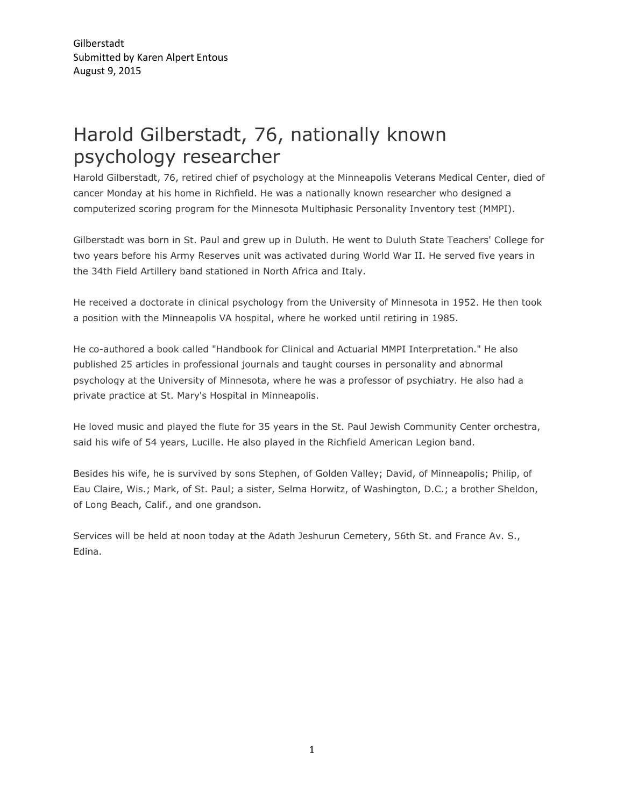## Harold Gilberstadt, 76, nationally known psychology researcher

Harold Gilberstadt, 76, retired chief of psychology at the Minneapolis Veterans Medical Center, died of cancer Monday at his home in Richfield. He was a nationally known researcher who designed a computerized scoring program for the Minnesota Multiphasic Personality Inventory test (MMPI).

Gilberstadt was born in St. Paul and grew up in Duluth. He went to Duluth State Teachers' College for two years before his Army Reserves unit was activated during World War II. He served five years in the 34th Field Artillery band stationed in North Africa and Italy.

He received a doctorate in clinical psychology from the University of Minnesota in 1952. He then took a position with the Minneapolis VA hospital, where he worked until retiring in 1985.

He co-authored a book called "Handbook for Clinical and Actuarial MMPI Interpretation." He also published 25 articles in professional journals and taught courses in personality and abnormal psychology at the University of Minnesota, where he was a professor of psychiatry. He also had a private practice at St. Mary's Hospital in Minneapolis.

He loved music and played the flute for 35 years in the St. Paul Jewish Community Center orchestra, said his wife of 54 years, Lucille. He also played in the Richfield American Legion band.

Besides his wife, he is survived by sons Stephen, of Golden Valley; David, of Minneapolis; Philip, of Eau Claire, Wis.; Mark, of St. Paul; a sister, Selma Horwitz, of Washington, D.C.; a brother Sheldon, of Long Beach, Calif., and one grandson.

Services will be held at noon today at the Adath Jeshurun Cemetery, 56th St. and France Av. S., Edina.